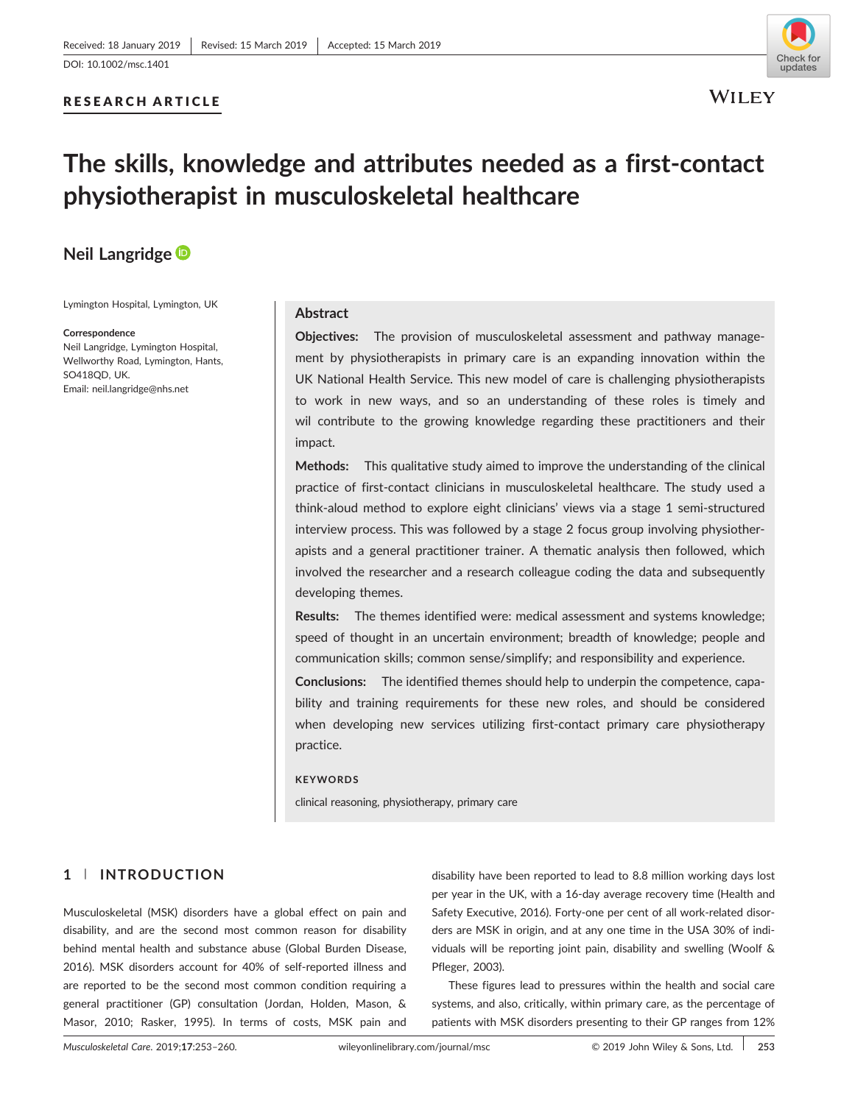## RESEARCH ARTICLE



# The skills, knowledge and attributes needed as a first‐contact physiotherapist in musculoskeletal healthcare

# Neil Langridge

Lymington Hospital, Lymington, UK

#### **Correspondence**

Neil Langridge, Lymington Hospital, Wellworthy Road, Lymington, Hants, SO418QD, UK. Email: [neil.langridge@nhs.net](mailto:neil.langridge@nhs.net)

## Abstract

Objectives: The provision of musculoskeletal assessment and pathway management by physiotherapists in primary care is an expanding innovation within the UK National Health Service. This new model of care is challenging physiotherapists to work in new ways, and so an understanding of these roles is timely and wil contribute to the growing knowledge regarding these practitioners and their impact.

Methods: This qualitative study aimed to improve the understanding of the clinical practice of first-contact clinicians in musculoskeletal healthcare. The study used a think‐aloud method to explore eight clinicians' views via a stage 1 semi‐structured interview process. This was followed by a stage 2 focus group involving physiotherapists and a general practitioner trainer. A thematic analysis then followed, which involved the researcher and a research colleague coding the data and subsequently developing themes.

Results: The themes identified were: medical assessment and systems knowledge; speed of thought in an uncertain environment; breadth of knowledge; people and communication skills; common sense/simplify; and responsibility and experience.

Conclusions: The identified themes should help to underpin the competence, capability and training requirements for these new roles, and should be considered when developing new services utilizing first-contact primary care physiotherapy practice.

#### **KEYWORDS**

clinical reasoning, physiotherapy, primary care

# 1 | INTRODUCTION

Musculoskeletal (MSK) disorders have a global effect on pain and disability, and are the second most common reason for disability behind mental health and substance abuse (Global Burden Disease, 2016). MSK disorders account for 40% of self‐reported illness and are reported to be the second most common condition requiring a general practitioner (GP) consultation (Jordan, Holden, Mason, & Masor, 2010; Rasker, 1995). In terms of costs, MSK pain and disability have been reported to lead to 8.8 million working days lost per year in the UK, with a 16‐day average recovery time (Health and Safety Executive, 2016). Forty-one per cent of all work-related disorders are MSK in origin, and at any one time in the USA 30% of individuals will be reporting joint pain, disability and swelling (Woolf & Pfleger, 2003).

These figures lead to pressures within the health and social care systems, and also, critically, within primary care, as the percentage of patients with MSK disorders presenting to their GP ranges from 12%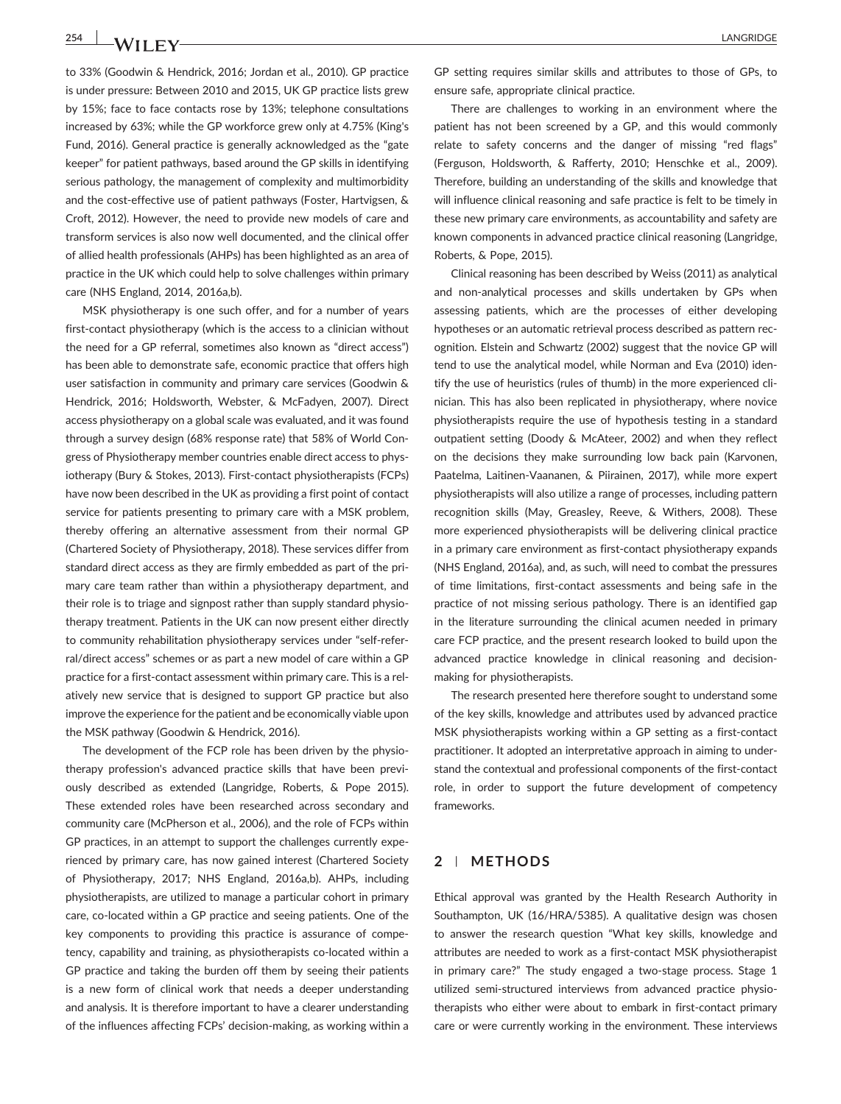254 **LANGRIDGE** 

to 33% (Goodwin & Hendrick, 2016; Jordan et al., 2010). GP practice is under pressure: Between 2010 and 2015, UK GP practice lists grew by 15%; face to face contacts rose by 13%; telephone consultations increased by 63%; while the GP workforce grew only at 4.75% (King's Fund, 2016). General practice is generally acknowledged as the "gate keeper" for patient pathways, based around the GP skills in identifying serious pathology, the management of complexity and multimorbidity and the cost-effective use of patient pathways (Foster, Hartvigsen, & Croft, 2012). However, the need to provide new models of care and transform services is also now well documented, and the clinical offer of allied health professionals (AHPs) has been highlighted as an area of practice in the UK which could help to solve challenges within primary care (NHS England, 2014, 2016a,b).

MSK physiotherapy is one such offer, and for a number of years first-contact physiotherapy (which is the access to a clinician without the need for a GP referral, sometimes also known as "direct access") has been able to demonstrate safe, economic practice that offers high user satisfaction in community and primary care services (Goodwin & Hendrick, 2016; Holdsworth, Webster, & McFadyen, 2007). Direct access physiotherapy on a global scale was evaluated, and it was found through a survey design (68% response rate) that 58% of World Congress of Physiotherapy member countries enable direct access to physiotherapy (Bury & Stokes, 2013). First‐contact physiotherapists (FCPs) have now been described in the UK as providing a first point of contact service for patients presenting to primary care with a MSK problem, thereby offering an alternative assessment from their normal GP (Chartered Society of Physiotherapy, 2018). These services differ from standard direct access as they are firmly embedded as part of the primary care team rather than within a physiotherapy department, and their role is to triage and signpost rather than supply standard physiotherapy treatment. Patients in the UK can now present either directly to community rehabilitation physiotherapy services under "self‐referral/direct access" schemes or as part a new model of care within a GP practice for a first‐contact assessment within primary care. This is a relatively new service that is designed to support GP practice but also improve the experience for the patient and be economically viable upon the MSK pathway (Goodwin & Hendrick, 2016).

The development of the FCP role has been driven by the physiotherapy profession's advanced practice skills that have been previously described as extended (Langridge, Roberts, & Pope 2015). These extended roles have been researched across secondary and community care (McPherson et al., 2006), and the role of FCPs within GP practices, in an attempt to support the challenges currently experienced by primary care, has now gained interest (Chartered Society of Physiotherapy, 2017; NHS England, 2016a,b). AHPs, including physiotherapists, are utilized to manage a particular cohort in primary care, co‐located within a GP practice and seeing patients. One of the key components to providing this practice is assurance of competency, capability and training, as physiotherapists co-located within a GP practice and taking the burden off them by seeing their patients is a new form of clinical work that needs a deeper understanding and analysis. It is therefore important to have a clearer understanding of the influences affecting FCPs' decision‐making, as working within a

GP setting requires similar skills and attributes to those of GPs, to ensure safe, appropriate clinical practice.

There are challenges to working in an environment where the patient has not been screened by a GP, and this would commonly relate to safety concerns and the danger of missing "red flags" (Ferguson, Holdsworth, & Rafferty, 2010; Henschke et al., 2009). Therefore, building an understanding of the skills and knowledge that will influence clinical reasoning and safe practice is felt to be timely in these new primary care environments, as accountability and safety are known components in advanced practice clinical reasoning (Langridge, Roberts, & Pope, 2015).

Clinical reasoning has been described by Weiss (2011) as analytical and non-analytical processes and skills undertaken by GPs when assessing patients, which are the processes of either developing hypotheses or an automatic retrieval process described as pattern recognition. Elstein and Schwartz (2002) suggest that the novice GP will tend to use the analytical model, while Norman and Eva (2010) identify the use of heuristics (rules of thumb) in the more experienced clinician. This has also been replicated in physiotherapy, where novice physiotherapists require the use of hypothesis testing in a standard outpatient setting (Doody & McAteer, 2002) and when they reflect on the decisions they make surrounding low back pain (Karvonen, Paatelma, Laitinen‐Vaananen, & Piirainen, 2017), while more expert physiotherapists will also utilize a range of processes, including pattern recognition skills (May, Greasley, Reeve, & Withers, 2008). These more experienced physiotherapists will be delivering clinical practice in a primary care environment as first‐contact physiotherapy expands (NHS England, 2016a), and, as such, will need to combat the pressures of time limitations, first‐contact assessments and being safe in the practice of not missing serious pathology. There is an identified gap in the literature surrounding the clinical acumen needed in primary care FCP practice, and the present research looked to build upon the advanced practice knowledge in clinical reasoning and decisionmaking for physiotherapists.

The research presented here therefore sought to understand some of the key skills, knowledge and attributes used by advanced practice MSK physiotherapists working within a GP setting as a first-contact practitioner. It adopted an interpretative approach in aiming to understand the contextual and professional components of the first-contact role, in order to support the future development of competency frameworks.

### 2 | METHODS

Ethical approval was granted by the Health Research Authority in Southampton, UK (16/HRA/5385). A qualitative design was chosen to answer the research question "What key skills, knowledge and attributes are needed to work as a first‐contact MSK physiotherapist in primary care?" The study engaged a two-stage process. Stage 1 utilized semi‐structured interviews from advanced practice physiotherapists who either were about to embark in first-contact primary care or were currently working in the environment. These interviews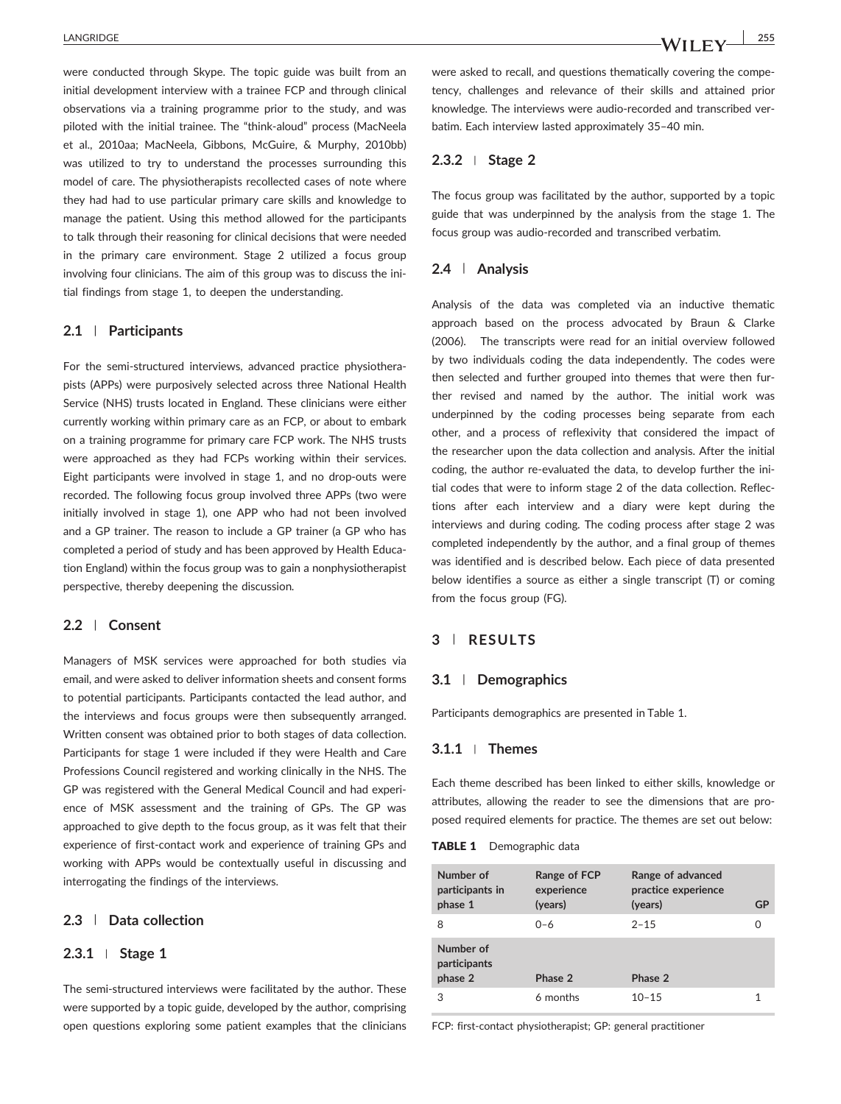were conducted through Skype. The topic guide was built from an initial development interview with a trainee FCP and through clinical observations via a training programme prior to the study, and was piloted with the initial trainee. The "think‐aloud" process (MacNeela et al., 2010aa; MacNeela, Gibbons, McGuire, & Murphy, 2010bb) was utilized to try to understand the processes surrounding this model of care. The physiotherapists recollected cases of note where they had had to use particular primary care skills and knowledge to manage the patient. Using this method allowed for the participants to talk through their reasoning for clinical decisions that were needed in the primary care environment. Stage 2 utilized a focus group involving four clinicians. The aim of this group was to discuss the initial findings from stage 1, to deepen the understanding.

#### 2.1 | Participants

For the semi-structured interviews, advanced practice physiotherapists (APPs) were purposively selected across three National Health Service (NHS) trusts located in England. These clinicians were either currently working within primary care as an FCP, or about to embark on a training programme for primary care FCP work. The NHS trusts were approached as they had FCPs working within their services. Eight participants were involved in stage 1, and no drop‐outs were recorded. The following focus group involved three APPs (two were initially involved in stage 1), one APP who had not been involved and a GP trainer. The reason to include a GP trainer (a GP who has completed a period of study and has been approved by Health Education England) within the focus group was to gain a nonphysiotherapist perspective, thereby deepening the discussion.

#### 2.2 | Consent

Managers of MSK services were approached for both studies via email, and were asked to deliver information sheets and consent forms to potential participants. Participants contacted the lead author, and the interviews and focus groups were then subsequently arranged. Written consent was obtained prior to both stages of data collection. Participants for stage 1 were included if they were Health and Care Professions Council registered and working clinically in the NHS. The GP was registered with the General Medical Council and had experience of MSK assessment and the training of GPs. The GP was approached to give depth to the focus group, as it was felt that their experience of first-contact work and experience of training GPs and working with APPs would be contextually useful in discussing and interrogating the findings of the interviews.

## 2.3 | Data collection

#### 2.3.1 <sup>|</sup> Stage 1

The semi-structured interviews were facilitated by the author. These were supported by a topic guide, developed by the author, comprising open questions exploring some patient examples that the clinicians were asked to recall, and questions thematically covering the competency, challenges and relevance of their skills and attained prior knowledge. The interviews were audio‐recorded and transcribed verbatim. Each interview lasted approximately 35–40 min.

#### 2.3.2 <sup>|</sup> Stage 2

The focus group was facilitated by the author, supported by a topic guide that was underpinned by the analysis from the stage 1. The focus group was audio‐recorded and transcribed verbatim.

### 2.4 | Analysis

Analysis of the data was completed via an inductive thematic approach based on the process advocated by Braun & Clarke (2006). The transcripts were read for an initial overview followed by two individuals coding the data independently. The codes were then selected and further grouped into themes that were then further revised and named by the author. The initial work was underpinned by the coding processes being separate from each other, and a process of reflexivity that considered the impact of the researcher upon the data collection and analysis. After the initial coding, the author re‐evaluated the data, to develop further the initial codes that were to inform stage 2 of the data collection. Reflections after each interview and a diary were kept during the interviews and during coding. The coding process after stage 2 was completed independently by the author, and a final group of themes was identified and is described below. Each piece of data presented below identifies a source as either a single transcript (T) or coming from the focus group (FG).

#### 3 | RESULTS

#### 3.1 | Demographics

Participants demographics are presented in Table 1.

#### 3.1.1 <sup>|</sup> Themes

Each theme described has been linked to either skills, knowledge or attributes, allowing the reader to see the dimensions that are proposed required elements for practice. The themes are set out below:

#### **TABLE 1** Demographic data

| Number of<br>participants in<br>phase 1 | Range of FCP<br>experience<br>(years) | Range of advanced<br>practice experience<br>(years) | GP |
|-----------------------------------------|---------------------------------------|-----------------------------------------------------|----|
| 8                                       | $0 - 6$                               | $2 - 15$                                            | Ω  |
| Number of<br>participants<br>phase 2    | Phase 2                               | Phase 2                                             |    |
| 3                                       | 6 months                              | $10 - 15$                                           |    |

FCP: first-contact physiotherapist; GP: general practitioner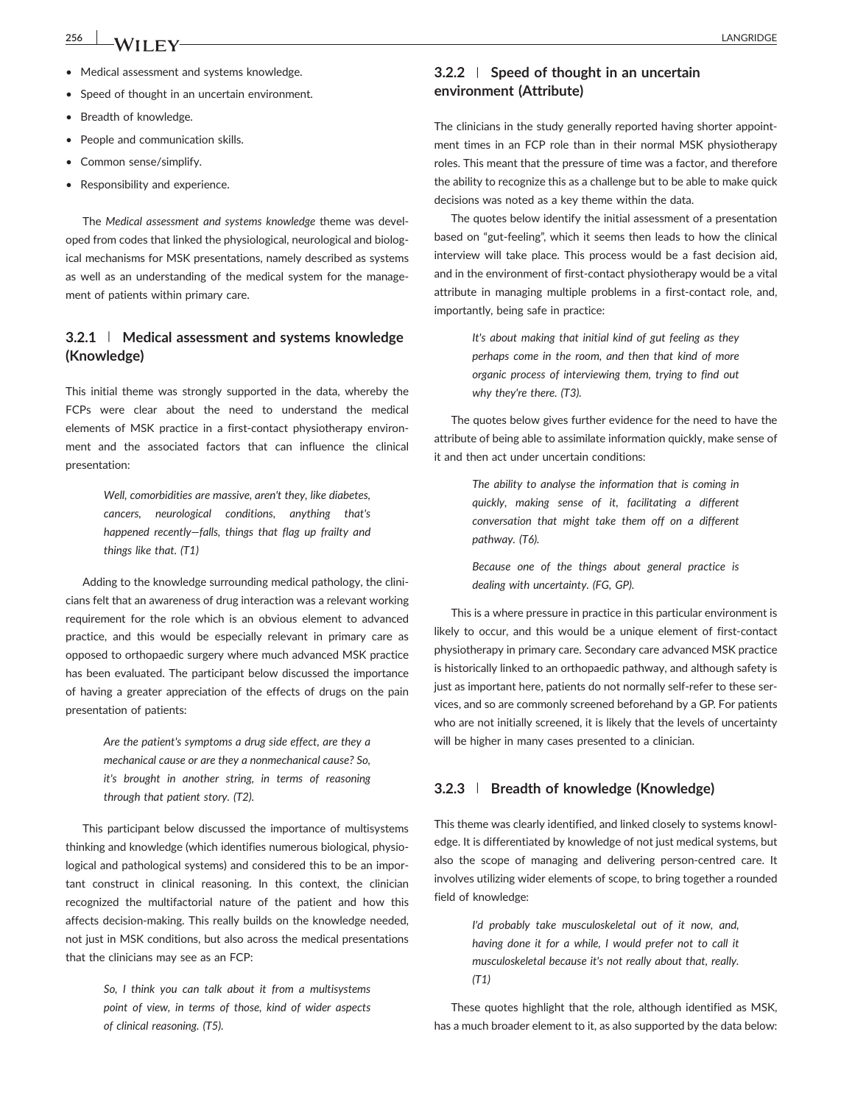- Medical assessment and systems knowledge.
- Speed of thought in an uncertain environment.
- Breadth of knowledge.
- People and communication skills.
- Common sense/simplify.
- Responsibility and experience.

The Medical assessment and systems knowledge theme was developed from codes that linked the physiological, neurological and biological mechanisms for MSK presentations, namely described as systems as well as an understanding of the medical system for the management of patients within primary care.

# 3.2.1 | Medical assessment and systems knowledge (Knowledge)

This initial theme was strongly supported in the data, whereby the FCPs were clear about the need to understand the medical elements of MSK practice in a first-contact physiotherapy environment and the associated factors that can influence the clinical presentation:

> Well, comorbidities are massive, aren't they, like diabetes, cancers, neurological conditions, anything that's happened recently—falls, things that flag up frailty and things like that. (T1)

Adding to the knowledge surrounding medical pathology, the clinicians felt that an awareness of drug interaction was a relevant working requirement for the role which is an obvious element to advanced practice, and this would be especially relevant in primary care as opposed to orthopaedic surgery where much advanced MSK practice has been evaluated. The participant below discussed the importance of having a greater appreciation of the effects of drugs on the pain presentation of patients:

> Are the patient's symptoms a drug side effect, are they a mechanical cause or are they a nonmechanical cause? So, it's brought in another string, in terms of reasoning through that patient story. (T2).

This participant below discussed the importance of multisystems thinking and knowledge (which identifies numerous biological, physiological and pathological systems) and considered this to be an important construct in clinical reasoning. In this context, the clinician recognized the multifactorial nature of the patient and how this affects decision‐making. This really builds on the knowledge needed, not just in MSK conditions, but also across the medical presentations that the clinicians may see as an FCP:

> So, I think you can talk about it from a multisystems point of view, in terms of those, kind of wider aspects of clinical reasoning. (T5).

# 3.2.2 | Speed of thought in an uncertain environment (Attribute)

The clinicians in the study generally reported having shorter appointment times in an FCP role than in their normal MSK physiotherapy roles. This meant that the pressure of time was a factor, and therefore the ability to recognize this as a challenge but to be able to make quick decisions was noted as a key theme within the data.

The quotes below identify the initial assessment of a presentation based on "gut‐feeling", which it seems then leads to how the clinical interview will take place. This process would be a fast decision aid, and in the environment of first-contact physiotherapy would be a vital attribute in managing multiple problems in a first-contact role, and, importantly, being safe in practice:

> It's about making that initial kind of gut feeling as they perhaps come in the room, and then that kind of more organic process of interviewing them, trying to find out why they're there. (T3).

The quotes below gives further evidence for the need to have the attribute of being able to assimilate information quickly, make sense of it and then act under uncertain conditions:

> The ability to analyse the information that is coming in quickly, making sense of it, facilitating a different conversation that might take them off on a different pathway. (T6).

> Because one of the things about general practice is dealing with uncertainty. (FG, GP).

This is a where pressure in practice in this particular environment is likely to occur, and this would be a unique element of first-contact physiotherapy in primary care. Secondary care advanced MSK practice is historically linked to an orthopaedic pathway, and although safety is just as important here, patients do not normally self-refer to these services, and so are commonly screened beforehand by a GP. For patients who are not initially screened, it is likely that the levels of uncertainty will be higher in many cases presented to a clinician.

## 3.2.3 | Breadth of knowledge (Knowledge)

This theme was clearly identified, and linked closely to systems knowledge. It is differentiated by knowledge of not just medical systems, but also the scope of managing and delivering person‐centred care. It involves utilizing wider elements of scope, to bring together a rounded field of knowledge:

> I'd probably take musculoskeletal out of it now, and, having done it for a while, I would prefer not to call it musculoskeletal because it's not really about that, really. (T1)

These quotes highlight that the role, although identified as MSK, has a much broader element to it, as also supported by the data below: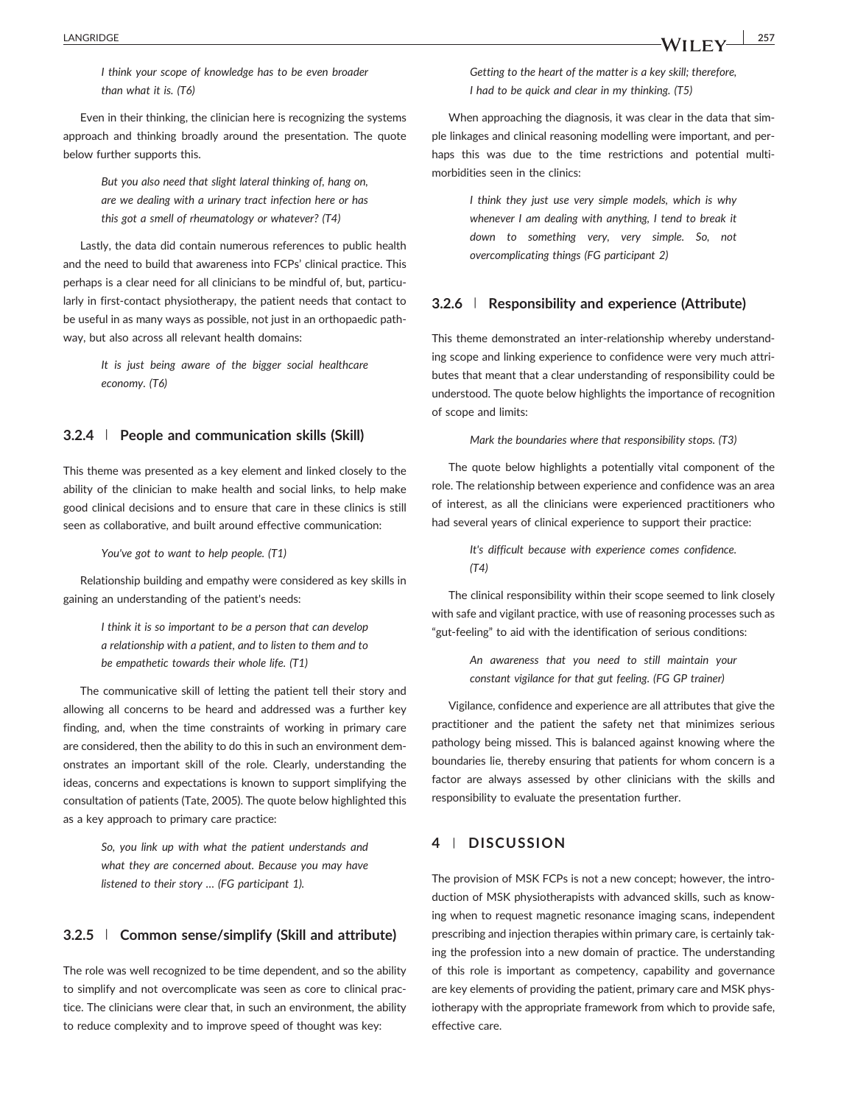I think your scope of knowledge has to be even broader than what it is. (T6)

Even in their thinking, the clinician here is recognizing the systems approach and thinking broadly around the presentation. The quote below further supports this.

> But you also need that slight lateral thinking of, hang on, are we dealing with a urinary tract infection here or has this got a smell of rheumatology or whatever? (T4)

Lastly, the data did contain numerous references to public health and the need to build that awareness into FCPs' clinical practice. This perhaps is a clear need for all clinicians to be mindful of, but, particularly in first-contact physiotherapy, the patient needs that contact to be useful in as many ways as possible, not just in an orthopaedic pathway, but also across all relevant health domains:

> It is just being aware of the bigger social healthcare economy. (T6)

#### 3.2.4 | People and communication skills (Skill)

This theme was presented as a key element and linked closely to the ability of the clinician to make health and social links, to help make good clinical decisions and to ensure that care in these clinics is still seen as collaborative, and built around effective communication:

You've got to want to help people. (T1)

Relationship building and empathy were considered as key skills in gaining an understanding of the patient's needs:

> I think it is so important to be a person that can develop a relationship with a patient, and to listen to them and to be empathetic towards their whole life. (T1)

The communicative skill of letting the patient tell their story and allowing all concerns to be heard and addressed was a further key finding, and, when the time constraints of working in primary care are considered, then the ability to do this in such an environment demonstrates an important skill of the role. Clearly, understanding the ideas, concerns and expectations is known to support simplifying the consultation of patients (Tate, 2005). The quote below highlighted this as a key approach to primary care practice:

> So, you link up with what the patient understands and what they are concerned about. Because you may have listened to their story … (FG participant 1).

## 3.2.5 | Common sense/simplify (Skill and attribute)

The role was well recognized to be time dependent, and so the ability to simplify and not overcomplicate was seen as core to clinical practice. The clinicians were clear that, in such an environment, the ability to reduce complexity and to improve speed of thought was key:

Getting to the heart of the matter is a key skill; therefore, I had to be quick and clear in my thinking. (T5)

When approaching the diagnosis, it was clear in the data that simple linkages and clinical reasoning modelling were important, and perhaps this was due to the time restrictions and potential multimorbidities seen in the clinics:

> I think they just use very simple models, which is why whenever I am dealing with anything, I tend to break it down to something very, very simple. So, not overcomplicating things (FG participant 2)

## 3.2.6 | Responsibility and experience (Attribute)

This theme demonstrated an inter-relationship whereby understanding scope and linking experience to confidence were very much attributes that meant that a clear understanding of responsibility could be understood. The quote below highlights the importance of recognition of scope and limits:

Mark the boundaries where that responsibility stops. (T3)

The quote below highlights a potentially vital component of the role. The relationship between experience and confidence was an area of interest, as all the clinicians were experienced practitioners who had several years of clinical experience to support their practice:

> It's difficult because with experience comes confidence. (T4)

The clinical responsibility within their scope seemed to link closely with safe and vigilant practice, with use of reasoning processes such as "gut-feeling" to aid with the identification of serious conditions:

> An awareness that you need to still maintain your constant vigilance for that gut feeling. (FG GP trainer)

Vigilance, confidence and experience are all attributes that give the practitioner and the patient the safety net that minimizes serious pathology being missed. This is balanced against knowing where the boundaries lie, thereby ensuring that patients for whom concern is a factor are always assessed by other clinicians with the skills and responsibility to evaluate the presentation further.

## 4 | DISCUSSION

The provision of MSK FCPs is not a new concept; however, the introduction of MSK physiotherapists with advanced skills, such as knowing when to request magnetic resonance imaging scans, independent prescribing and injection therapies within primary care, is certainly taking the profession into a new domain of practice. The understanding of this role is important as competency, capability and governance are key elements of providing the patient, primary care and MSK physiotherapy with the appropriate framework from which to provide safe, effective care.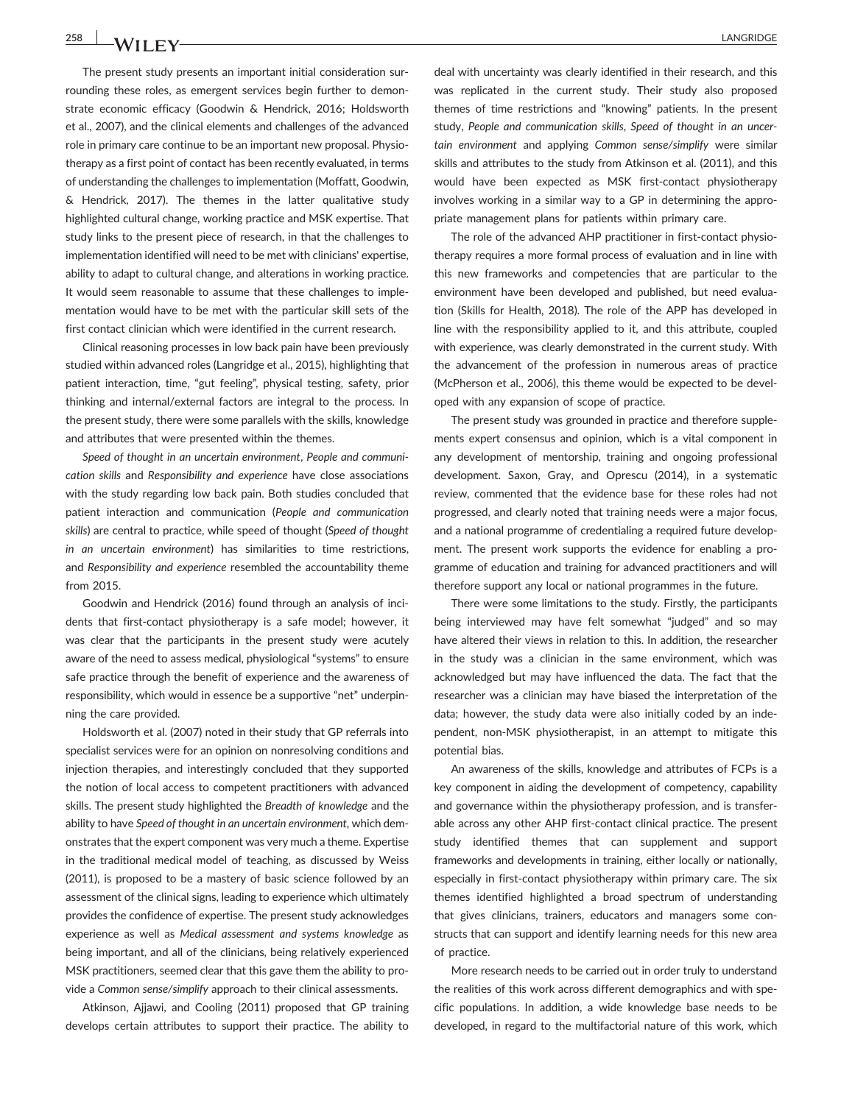The present study presents an important initial consideration surrounding these roles, as emergent services begin further to demonstrate economic efficacy (Goodwin & Hendrick, 2016; Holdsworth et al., 2007), and the clinical elements and challenges of the advanced role in primary care continue to be an important new proposal. Physiotherapy as a first point of contact has been recently evaluated, in terms of understanding the challenges to implementation (Moffatt, Goodwin, & Hendrick, 2017). The themes in the latter qualitative study highlighted cultural change, working practice and MSK expertise. That study links to the present piece of research, in that the challenges to implementation identified will need to be met with clinicians' expertise, ability to adapt to cultural change, and alterations in working practice. It would seem reasonable to assume that these challenges to implementation would have to be met with the particular skill sets of the first contact clinician which were identified in the current research.

Clinical reasoning processes in low back pain have been previously studied within advanced roles (Langridge et al., 2015), highlighting that patient interaction, time, "gut feeling", physical testing, safety, prior thinking and internal/external factors are integral to the process. In the present study, there were some parallels with the skills, knowledge and attributes that were presented within the themes.

Speed of thought in an uncertain environment, People and communication skills and Responsibility and experience have close associations with the study regarding low back pain. Both studies concluded that patient interaction and communication (People and communication skills) are central to practice, while speed of thought (Speed of thought in an uncertain environment) has similarities to time restrictions, and Responsibility and experience resembled the accountability theme from 2015.

Goodwin and Hendrick (2016) found through an analysis of incidents that first-contact physiotherapy is a safe model; however, it was clear that the participants in the present study were acutely aware of the need to assess medical, physiological "systems" to ensure safe practice through the benefit of experience and the awareness of responsibility, which would in essence be a supportive "net" underpinning the care provided.

Holdsworth et al. (2007) noted in their study that GP referrals into specialist services were for an opinion on nonresolving conditions and injection therapies, and interestingly concluded that they supported the notion of local access to competent practitioners with advanced skills. The present study highlighted the Breadth of knowledge and the ability to have Speed of thought in an uncertain environment, which demonstrates that the expert component was very much a theme. Expertise in the traditional medical model of teaching, as discussed by Weiss (2011), is proposed to be a mastery of basic science followed by an assessment of the clinical signs, leading to experience which ultimately provides the confidence of expertise. The present study acknowledges experience as well as Medical assessment and systems knowledge as being important, and all of the clinicians, being relatively experienced MSK practitioners, seemed clear that this gave them the ability to provide a Common sense/simplify approach to their clinical assessments.

Atkinson, Ajjawi, and Cooling (2011) proposed that GP training develops certain attributes to support their practice. The ability to

deal with uncertainty was clearly identified in their research, and this was replicated in the current study. Their study also proposed themes of time restrictions and "knowing" patients. In the present study, People and communication skills, Speed of thought in an uncertain environment and applying Common sense/simplify were similar skills and attributes to the study from Atkinson et al. (2011), and this would have been expected as MSK first-contact physiotherapy involves working in a similar way to a GP in determining the appropriate management plans for patients within primary care.

The role of the advanced AHP practitioner in first-contact physiotherapy requires a more formal process of evaluation and in line with this new frameworks and competencies that are particular to the environment have been developed and published, but need evaluation (Skills for Health, 2018). The role of the APP has developed in line with the responsibility applied to it, and this attribute, coupled with experience, was clearly demonstrated in the current study. With the advancement of the profession in numerous areas of practice (McPherson et al., 2006), this theme would be expected to be developed with any expansion of scope of practice.

The present study was grounded in practice and therefore supplements expert consensus and opinion, which is a vital component in any development of mentorship, training and ongoing professional development. Saxon, Gray, and Oprescu (2014), in a systematic review, commented that the evidence base for these roles had not progressed, and clearly noted that training needs were a major focus, and a national programme of credentialing a required future development. The present work supports the evidence for enabling a programme of education and training for advanced practitioners and will therefore support any local or national programmes in the future.

There were some limitations to the study. Firstly, the participants being interviewed may have felt somewhat "judged" and so may have altered their views in relation to this. In addition, the researcher in the study was a clinician in the same environment, which was acknowledged but may have influenced the data. The fact that the researcher was a clinician may have biased the interpretation of the data; however, the study data were also initially coded by an independent, non‐MSK physiotherapist, in an attempt to mitigate this potential bias.

An awareness of the skills, knowledge and attributes of FCPs is a key component in aiding the development of competency, capability and governance within the physiotherapy profession, and is transferable across any other AHP first-contact clinical practice. The present study identified themes that can supplement and support frameworks and developments in training, either locally or nationally, especially in first-contact physiotherapy within primary care. The six themes identified highlighted a broad spectrum of understanding that gives clinicians, trainers, educators and managers some constructs that can support and identify learning needs for this new area of practice.

More research needs to be carried out in order truly to understand the realities of this work across different demographics and with specific populations. In addition, a wide knowledge base needs to be developed, in regard to the multifactorial nature of this work, which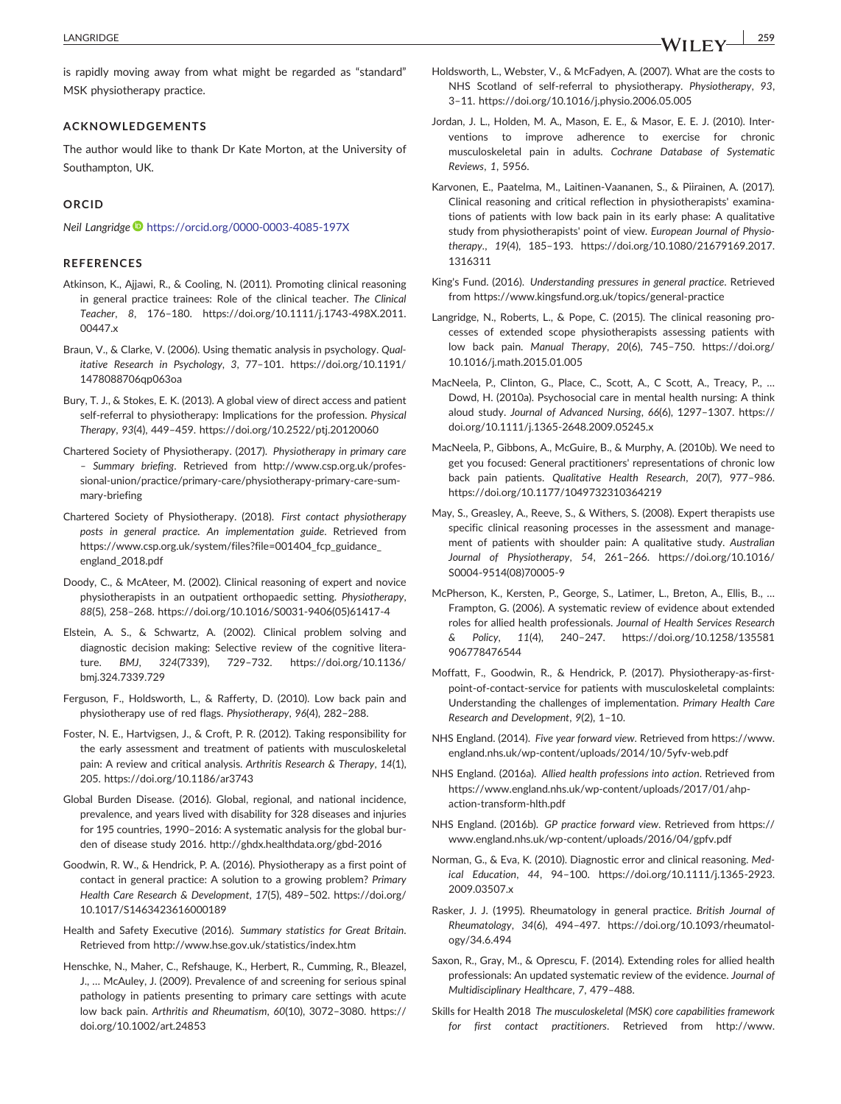is rapidly moving away from what might be regarded as "standard" MSK physiotherapy practice.

#### ACKNOWLEDGEMENTS

The author would like to thank Dr Kate Morton, at the University of Southampton, UK.

#### ORCID

Neil Langridge <https://orcid.org/0000-0003-4085-197X>

#### **REFERENCES**

- Atkinson, K., Ajjawi, R., & Cooling, N. (2011). Promoting clinical reasoning in general practice trainees: Role of the clinical teacher. The Clinical Teacher, 8, 176–180. [https://doi.org/10.1111/j.1743](https://doi.org/10.1111/j.1743-498X.2011.00447.x)‐498X.2011. [00447.x](https://doi.org/10.1111/j.1743-498X.2011.00447.x)
- Braun, V., & Clarke, V. (2006). Using thematic analysis in psychology. Qualitative Research in Psychology, 3, 77–101. [https://doi.org/10.1191/](https://doi.org/10.1191/1478088706qp063oa) [1478088706qp063oa](https://doi.org/10.1191/1478088706qp063oa)
- Bury, T. J., & Stokes, E. K. (2013). A global view of direct access and patient self-referral to physiotherapy: Implications for the profession. Physical Therapy, 93(4), 449–459.<https://doi.org/10.2522/ptj.20120060>
- Chartered Society of Physiotherapy. (2017). Physiotherapy in primary care – Summary briefing. Retrieved from [http://www.csp.org.uk/profes](http://www.csp.org.uk/professional-union/practice/primary-care/physiotherapy-primary-care-summary-briefing)sional-[union/practice/primary](http://www.csp.org.uk/professional-union/practice/primary-care/physiotherapy-primary-care-summary-briefing)-care/physiotherapy-primary-care-summary‐[briefing](http://www.csp.org.uk/professional-union/practice/primary-care/physiotherapy-primary-care-summary-briefing)
- Chartered Society of Physiotherapy. (2018). First contact physiotherapy posts in general practice. An implementation guide. Retrieved from https://www.csp.org.uk/system/files?file=001404\_fcp\_guidance [england\\_2018.pdf](https://www.csp.org.uk/system/files?file=001404_fcp_guidance_england_2018.pdf)
- Doody, C., & McAteer, M. (2002). Clinical reasoning of expert and novice physiotherapists in an outpatient orthopaedic setting. Physiotherapy, 88(5), 258–268. [https://doi.org/10.1016/S0031](https://doi.org/10.1016/S0031-9406(05)61417-4)‐9406(05)61417‐4
- Elstein, A. S., & Schwartz, A. (2002). Clinical problem solving and diagnostic decision making: Selective review of the cognitive literature. BMJ, 324(7339), 729–732. [https://doi.org/10.1136/](https://doi.org/10.1136/bmj.324.7339.729) [bmj.324.7339.729](https://doi.org/10.1136/bmj.324.7339.729)
- Ferguson, F., Holdsworth, L., & Rafferty, D. (2010). Low back pain and physiotherapy use of red flags. Physiotherapy, 96(4), 282–288.
- Foster, N. E., Hartvigsen, J., & Croft, P. R. (2012). Taking responsibility for the early assessment and treatment of patients with musculoskeletal pain: A review and critical analysis. Arthritis Research & Therapy, 14(1), 205.<https://doi.org/10.1186/ar3743>
- Global Burden Disease. (2016). Global, regional, and national incidence, prevalence, and years lived with disability for 328 diseases and injuries for 195 countries, 1990–2016: A systematic analysis for the global burden of disease study 2016.<http://ghdx.healthdata.org/gbd-2016>
- Goodwin, R. W., & Hendrick, P. A. (2016). Physiotherapy as a first point of contact in general practice: A solution to a growing problem? Primary Health Care Research & Development, 17(5), 489–502. [https://doi.org/](https://doi.org/10.1017/S1463423616000189) [10.1017/S1463423616000189](https://doi.org/10.1017/S1463423616000189)
- Health and Safety Executive (2016). Summary statistics for Great Britain. Retrieved from<http://www.hse.gov.uk/statistics/index.htm>
- Henschke, N., Maher, C., Refshauge, K., Herbert, R., Cumming, R., Bleazel, J., … McAuley, J. (2009). Prevalence of and screening for serious spinal pathology in patients presenting to primary care settings with acute low back pain. Arthritis and Rheumatism, 60(10), 3072–3080. [https://](https://doi.org/10.1002/art.24853) [doi.org/10.1002/art.24853](https://doi.org/10.1002/art.24853)
- Holdsworth, L., Webster, V., & McFadyen, A. (2007). What are the costs to NHS Scotland of self-referral to physiotherapy. Physiotherapy, 93, 3–11.<https://doi.org/10.1016/j.physio.2006.05.005>
- Jordan, J. L., Holden, M. A., Mason, E. E., & Masor, E. E. J. (2010). Interventions to improve adherence to exercise for chronic musculoskeletal pain in adults. Cochrane Database of Systematic Reviews, 1, 5956.
- Karvonen, E., Paatelma, M., Laitinen‐Vaananen, S., & Piirainen, A. (2017). Clinical reasoning and critical reflection in physiotherapists' examinations of patients with low back pain in its early phase: A qualitative study from physiotherapists' point of view. European Journal of Physiotherapy., 19(4), 185–193. [https://doi.org/10.1080/21679169.2017.](https://doi.org/10.1080/21679169.2017.1316311) [1316311](https://doi.org/10.1080/21679169.2017.1316311)
- King's Fund. (2016). Understanding pressures in general practice. Retrieved from [https://www.kingsfund.org.uk/topics/general](https://www.kingsfund.org.uk/topics/general-practice)‐practice
- Langridge, N., Roberts, L., & Pope, C. (2015). The clinical reasoning processes of extended scope physiotherapists assessing patients with low back pain. Manual Therapy, 20(6), 745–750. [https://doi.org/](https://doi.org/10.1016/j.math.2015.01.005) [10.1016/j.math.2015.01.005](https://doi.org/10.1016/j.math.2015.01.005)
- MacNeela, P., Clinton, G., Place, C., Scott, A., C Scott, A., Treacy, P., … Dowd, H. (2010a). Psychosocial care in mental health nursing: A think aloud study. Journal of Advanced Nursing, 66(6), 1297–1307. [https://](https://doi.org/10.1111/j.1365-2648.2009.05245.x) [doi.org/10.1111/j.1365](https://doi.org/10.1111/j.1365-2648.2009.05245.x)‐2648.2009.05245.x
- MacNeela, P., Gibbons, A., McGuire, B., & Murphy, A. (2010b). We need to get you focused: General practitioners' representations of chronic low back pain patients. Qualitative Health Research, 20(7), 977–986. <https://doi.org/10.1177/1049732310364219>
- May, S., Greasley, A., Reeve, S., & Withers, S. (2008). Expert therapists use specific clinical reasoning processes in the assessment and management of patients with shoulder pain: A qualitative study. Australian Journal of Physiotherapy, 54, 261–266. [https://doi.org/10.1016/](https://doi.org/10.1016/S0004-9514(08)70005-9) S0004‐[9514\(08\)70005](https://doi.org/10.1016/S0004-9514(08)70005-9)‐9
- McPherson, K., Kersten, P., George, S., Latimer, L., Breton, A., Ellis, B., … Frampton, G. (2006). A systematic review of evidence about extended roles for allied health professionals. Journal of Health Services Research & Policy, 11(4), 240–247. [https://doi.org/10.1258/135581](https://doi.org/10.1258/135581906778476544) [906778476544](https://doi.org/10.1258/135581906778476544)
- Moffatt, F., Goodwin, R., & Hendrick, P. (2017). Physiotherapy-as-firstpoint-of-contact-service for patients with musculoskeletal complaints: Understanding the challenges of implementation. Primary Health Care Research and Development, 9(2), 1–10.
- NHS England. (2014). Five year forward view. Retrieved from [https://www.](https://www.england.nhs.uk/wp-content/uploads/2014/10/5yfv-web.pdf) england.nhs.uk/wp‐[content/uploads/2014/10/5yfv](https://www.england.nhs.uk/wp-content/uploads/2014/10/5yfv-web.pdf)‐web.pdf
- NHS England. (2016a). Allied health professions into action. Retrieved from [https://www.england.nhs.uk/wp](https://www.england.nhs.uk/wp-content/uploads/2017/01/ahp-action-transform-hlth.pdf)‐content/uploads/2017/01/ahp‐ action‐[transform](https://www.england.nhs.uk/wp-content/uploads/2017/01/ahp-action-transform-hlth.pdf)‐hlth.pdf
- NHS England. (2016b). GP practice forward view. Retrieved from [https://](https://www.england.nhs.uk/wp-content/uploads/2016/04/gpfv.pdf) www.england.nhs.uk/wp‐[content/uploads/2016/04/gpfv.pdf](https://www.england.nhs.uk/wp-content/uploads/2016/04/gpfv.pdf)
- Norman, G., & Eva, K. (2010). Diagnostic error and clinical reasoning. Medical Education, 44, 94–100. [https://doi.org/10.1111/j.1365](https://doi.org/10.1111/j.1365-2923.2009.03507.x)‐2923. [2009.03507.x](https://doi.org/10.1111/j.1365-2923.2009.03507.x)
- Rasker, J. J. (1995). Rheumatology in general practice. British Journal of Rheumatology, 34(6), 494–497. [https://doi.org/10.1093/rheumatol](https://doi.org/10.1093/rheumatology/34.6.494)[ogy/34.6.494](https://doi.org/10.1093/rheumatology/34.6.494)
- Saxon, R., Gray, M., & Oprescu, F. (2014). Extending roles for allied health professionals: An updated systematic review of the evidence. Journal of Multidisciplinary Healthcare, 7, 479–488.
- Skills for Health 2018 The musculoskeletal (MSK) core capabilities framework for first contact practitioners. Retrieved from [http://www.](http://www.skillsforhealth.org.uk/news/latest-news/item/689-new-musculoskeletal-core-capabilities-framework)